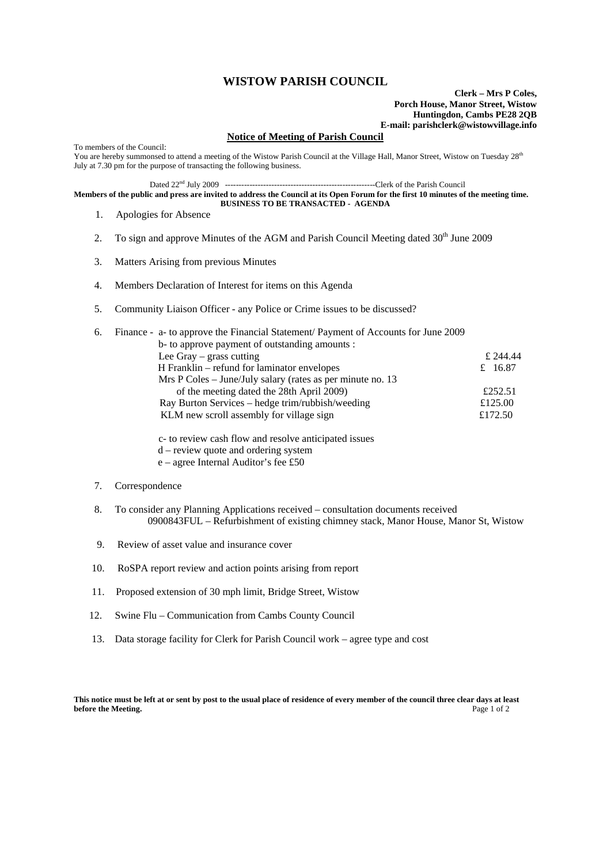## **WISTOW PARISH COUNCIL**

**Clerk – Mrs P Coles, Porch House, Manor Street, Wistow Huntingdon, Cambs PE28 2QB E-mail: parishclerk@wistowvillage.info**

## **Notice of Meeting of Parish Council**

To members of the Council: You are hereby summonsed to attend a meeting of the Wistow Parish Council at the Village Hall, Manor Street, Wistow on Tuesday 28<sup>th</sup> July at 7.30 pm for the purpose of transacting the following business.

Dated 22nd July 2009 -------------------------------------------------------Clerk of the Parish Council

**Members of the public and press are invited to address the Council at its Open Forum for the first 10 minutes of the meeting time. BUSINESS TO BE TRANSACTED - AGENDA** 

- 1. Apologies for Absence
- 2. To sign and approve Minutes of the AGM and Parish Council Meeting dated 30<sup>th</sup> June 2009
- 3. Matters Arising from previous Minutes
- 4. Members Declaration of Interest for items on this Agenda
- 5. Community Liaison Officer any Police or Crime issues to be discussed?

| 6. | Finance - a- to approve the Financial Statement/ Payment of Accounts for June 2009 |          |
|----|------------------------------------------------------------------------------------|----------|
|    | b- to approve payment of outstanding amounts :                                     |          |
|    | Lee Gray $-$ grass cutting                                                         | £ 244.44 |
|    | H Franklin – refund for laminator envelopes                                        | £ 16.87  |
|    | Mrs P Coles – June/July salary (rates as per minute no. 13)                        |          |
|    | of the meeting dated the 28th April 2009)                                          | £252.51  |
|    | Ray Burton Services – hedge trim/rubbish/weeding                                   | £125.00  |
|    | KLM new scroll assembly for village sign                                           | £172.50  |
|    |                                                                                    |          |

 c- to review cash flow and resolve anticipated issues d – review quote and ordering system

e – agree Internal Auditor's fee £50

## 7. Correspondence

- 8. To consider any Planning Applications received consultation documents received 0900843FUL – Refurbishment of existing chimney stack, Manor House, Manor St, Wistow
- 9. Review of asset value and insurance cover
- 10. RoSPA report review and action points arising from report
- 11. Proposed extension of 30 mph limit, Bridge Street, Wistow
- 12. Swine Flu Communication from Cambs County Council
- 13. Data storage facility for Clerk for Parish Council work agree type and cost

**This notice must be left at or sent by post to the usual place of residence of every member of the council three clear days at least before the Meeting.** Page 1 of 2